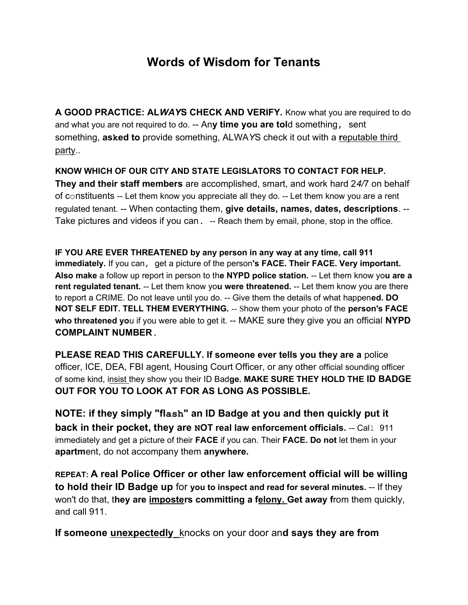## Words of Wisdom for Tenants

A GOOD PRACTICE: ALWAYS CHECK AND VERIFY. Know what you are required to do and what you are not required to do. -- Any time you are told something, sent something, **asked to** provide something, ALWAYS check it out with a reputable third party..

## KNOW WHICH OF OUR CITY AND STATE LEGISLATORS TO CONTACT FOR HELP.

They and their staff members are accomplished, smart, and work hard 24/7 on behalf of constituents -- Let them know you appreciate all they do. -- Let them know you are a rent regulated tenant. -- When contacting them, give details, names, dates, descriptions. -- Take pictures and videos if you can. -- Reach them by email, phone, stop in the office.

IF YOU ARE EVER THREATENED by any person in any way at any time, call 911 immediately. If you can, get a picture of the person's FACE. Their FACE. Very important. Also make a follow up report in person to the NYPD police station. -- Let them know you are a rent regulated tenant. -- Let them know you were threatened. -- Let them know you are there to report a CRIME. Do not leave until you do. -- Give them the details of what happened. DO NOT SELF EDIT. TELL THEM EVERYTHING. -- Show them your photo of the person's FACE who threatened you if you were able to get it. -- MAKE sure they give you an official NYPD COMPLAINT NUMBER.

PLEASE READ THIS CAREFULLY. If someone ever tells you they are a police officer, ICE, DEA, FBI agent, Housing Court Officer, or any other official sounding officer of some kind, insist they show you their ID Badge. MAKE SURE THEY HOLD THE ID BADGE OUT FOR YOU TO LOOK AT FOR AS LONG AS POSSIBLE.

NOTE: if they simply "flash" an ID Badge at you and then quickly put it back in their pocket, they are  $NOT$  real law enforcement officials.  $-$  Call 911 immediately and get a picture of their FACE if you can. Their FACE. Do not let them in your apartment, do not accompany them anywhere.

REPEAT: A real Police Officer or other law enforcement official will be willing to hold their ID Badge up for you to inspect and read for several minutes. -- If they won't do that, they are imposters committing a felony. Get away from them quickly, and call 911.

If someone *unexpectedly* knocks on your door and says they are from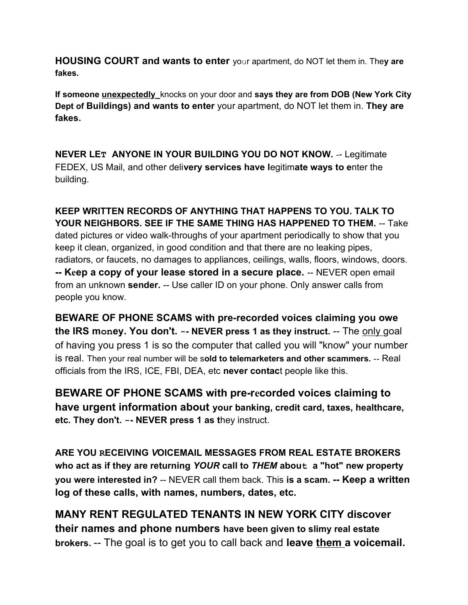**HOUSING COURT and wants to enter** your apartment, do NOT let them in. They are fakes.

If someone unexpectedly knocks on your door and says they are from DOB (New York City Dept of Buildings) and wants to enter your apartment, do NOT let them in. They are fakes.

NEVER LET ANYONE IN YOUR BUILDING YOU DO NOT KNOW. -- Legitimate FEDEX, US Mail, and other delivery services have legitimate ways to enter the building.

KEEP WRITTEN RECORDS OF ANYTHING THAT HAPPENS TO YOU. TALK TO YOUR NEIGHBORS. SEE IF THE SAME THING HAS HAPPENED TO THEM. -- Take dated pictures or video walk-throughs of your apartment periodically to show that you keep it clean, organized, in good condition and that there are no leaking pipes, radiators, or faucets, no damages to appliances, ceilings, walls, floors, windows, doors. -- Keep a copy of your lease stored in a secure place. -- NEVER open email from an unknown sender. -- Use caller ID on your phone. Only answer calls from people you know.

BEWARE OF PHONE SCAMS with pre-recorded voices claiming you owe the IRS money. You don't.  $-$ - NEVER press 1 as they instruct.  $-$  The only goal of having you press 1 is so the computer that called you will "know" your number is real. Then your real number will be sold to telemarketers and other scammers. -- Real officials from the IRS, ICE, FBI, DEA, etc never contact people like this.

BEWARE OF PHONE SCAMS with pre-recorded voices claiming to have urgent information about your banking, credit card, taxes, healthcare, etc. They don't. -- NEVER press 1 as they instruct.

ARE YOU RECEIVING VOICEMAIL MESSAGES FROM REAL ESTATE BROKERS who act as if they are returning YOUR call to THEM about a "hot" new property you were interested in? -- NEVER call them back. This is a scam. -- Keep a written log of these calls, with names, numbers, dates, etc.

MANY RENT REGULATED TENANTS IN NEW YORK CITY discover their names and phone numbers have been given to slimy real estate brokers. -- The goal is to get you to call back and leave them a voicemail.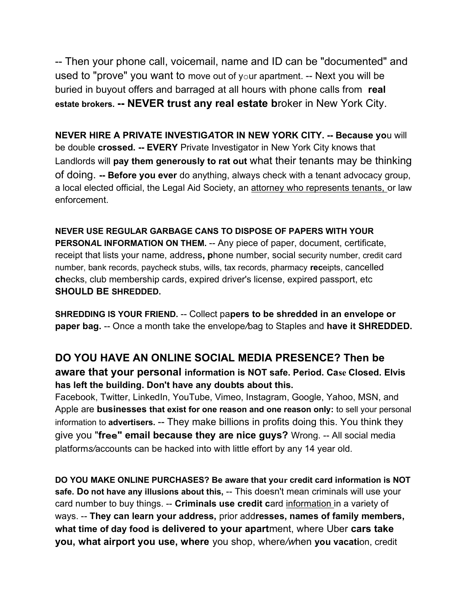-- Then your phone call, voicemail, name and ID can be "documented" and used to "prove" you want to move out of your apartment. -- Next you will be buried in buyout offers and barraged at all hours with phone calls from real estate brokers. -- NEVER trust any real estate broker in New York City.

NEVER HIRE A PRIVATE INVESTIGATOR IN NEW YORK CITY. -- Because you will be double crossed. -- EVERY Private Investigator in New York City knows that Landlords will pay them generously to rat out what their tenants may be thinking of doing. -- Before you ever do anything, always check with a tenant advocacy group, a local elected official, the Legal Aid Society, an attorney who represents tenants, or law enforcement.

NEVER USE REGULAR GARBAGE CANS TO DISPOSE OF PAPERS WITH YOUR PERSONAL INFORMATION ON THEM. -- Any piece of paper, document, certificate, receipt that lists your name, address, phone number, social security number, credit card number, bank records, paycheck stubs, wills, tax records, pharmacy receipts, cancelled checks, club membership cards, expired driver's license, expired passport, etc SHOULD BE SHREDDED.

SHREDDING IS YOUR FRIEND. -- Collect papers to be shredded in an envelope or paper bag. -- Once a month take the envelope/bag to Staples and have it SHREDDED.

## DO YOU HAVE AN ONLINE SOCIAL MEDIA PRESENCE? Then be

aware that your personal information is NOT safe. Period. Case Closed. Elvis has left the building. Don't have any doubts about this.

Facebook, Twitter, LinkedIn, YouTube, Vimeo, Instagram, Google, Yahoo, MSN, and Apple are businesses that exist for one reason and one reason only: to sell your personal information to advertisers. -- They make billions in profits doing this. You think they give you "free" email because they are nice guys? Wrong. -- All social media platforms/accounts can be hacked into with little effort by any 14 year old.

DO YOU MAKE ONLINE PURCHASES? Be aware that your credit card information is NOT safe. Do not have any illusions about this, -- This doesn't mean criminals will use your card number to buy things. -- Criminals use credit card information in a variety of ways. -- They can learn your address, prior addresses, names of family members, what time of day food is delivered to your apartment, where Uber cars take you, what airport you use, where you shop, where/when you vacation, credit